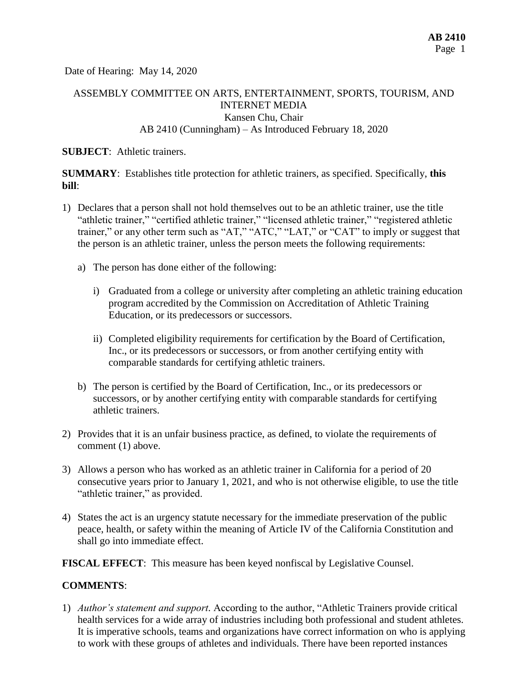Date of Hearing: May 14, 2020

# ASSEMBLY COMMITTEE ON ARTS, ENTERTAINMENT, SPORTS, TOURISM, AND INTERNET MEDIA Kansen Chu, Chair AB 2410 (Cunningham) – As Introduced February 18, 2020

**SUBJECT**: Athletic trainers.

**SUMMARY**: Establishes title protection for athletic trainers, as specified. Specifically, **this bill**:

- 1) Declares that a person shall not hold themselves out to be an athletic trainer, use the title "athletic trainer," "certified athletic trainer," "licensed athletic trainer," "registered athletic trainer," or any other term such as "AT," "ATC," "LAT," or "CAT" to imply or suggest that the person is an athletic trainer, unless the person meets the following requirements:
	- a) The person has done either of the following:
		- i) Graduated from a college or university after completing an athletic training education program accredited by the Commission on Accreditation of Athletic Training Education, or its predecessors or successors.
		- ii) Completed eligibility requirements for certification by the Board of Certification, Inc., or its predecessors or successors, or from another certifying entity with comparable standards for certifying athletic trainers.
	- b) The person is certified by the Board of Certification, Inc., or its predecessors or successors, or by another certifying entity with comparable standards for certifying athletic trainers.
- 2) Provides that it is an unfair business practice, as defined, to violate the requirements of comment (1) above.
- 3) Allows a person who has worked as an athletic trainer in California for a period of 20 consecutive years prior to January 1, 2021, and who is not otherwise eligible, to use the title "athletic trainer," as provided.
- 4) States the act is an urgency statute necessary for the immediate preservation of the public peace, health, or safety within the meaning of Article IV of the California Constitution and shall go into immediate effect.

**FISCAL EFFECT**: This measure has been keyed nonfiscal by Legislative Counsel.

### **COMMENTS**:

1) *Author's statement and support.* According to the author, "Athletic Trainers provide critical health services for a wide array of industries including both professional and student athletes. It is imperative schools, teams and organizations have correct information on who is applying to work with these groups of athletes and individuals. There have been reported instances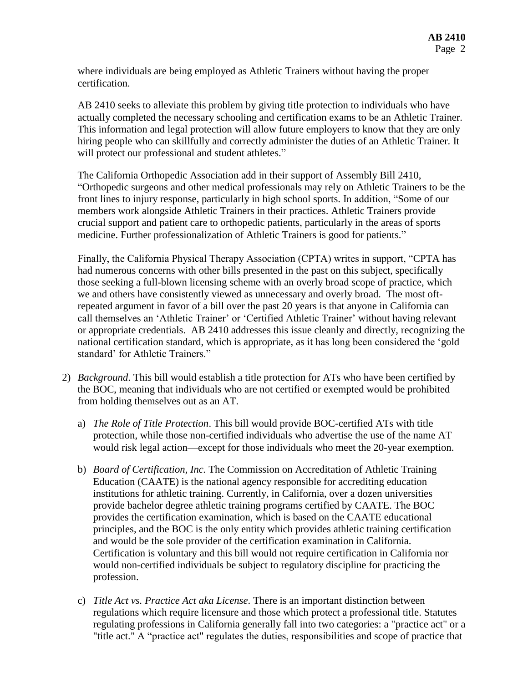where individuals are being employed as Athletic Trainers without having the proper certification.

AB 2410 seeks to alleviate this problem by giving title protection to individuals who have actually completed the necessary schooling and certification exams to be an Athletic Trainer. This information and legal protection will allow future employers to know that they are only hiring people who can skillfully and correctly administer the duties of an Athletic Trainer. It will protect our professional and student athletes."

The California Orthopedic Association add in their support of Assembly Bill 2410, "Orthopedic surgeons and other medical professionals may rely on Athletic Trainers to be the front lines to injury response, particularly in high school sports. In addition, "Some of our members work alongside Athletic Trainers in their practices. Athletic Trainers provide crucial support and patient care to orthopedic patients, particularly in the areas of sports medicine. Further professionalization of Athletic Trainers is good for patients."

Finally, the California Physical Therapy Association (CPTA) writes in support, "CPTA has had numerous concerns with other bills presented in the past on this subject, specifically those seeking a full-blown licensing scheme with an overly broad scope of practice, which we and others have consistently viewed as unnecessary and overly broad. The most oftrepeated argument in favor of a bill over the past 20 years is that anyone in California can call themselves an 'Athletic Trainer' or 'Certified Athletic Trainer' without having relevant or appropriate credentials. AB 2410 addresses this issue cleanly and directly, recognizing the national certification standard, which is appropriate, as it has long been considered the 'gold standard' for Athletic Trainers."

- 2) *Background*. This bill would establish a title protection for ATs who have been certified by the BOC, meaning that individuals who are not certified or exempted would be prohibited from holding themselves out as an AT.
	- a) *The Role of Title Protection*. This bill would provide BOC-certified ATs with title protection, while those non-certified individuals who advertise the use of the name AT would risk legal action—except for those individuals who meet the 20-year exemption.
	- b) *Board of Certification, Inc.* The Commission on Accreditation of Athletic Training Education (CAATE) is the national agency responsible for accrediting education institutions for athletic training. Currently, in California, over a dozen universities provide bachelor degree athletic training programs certified by CAATE. The BOC provides the certification examination, which is based on the CAATE educational principles, and the BOC is the only entity which provides athletic training certification and would be the sole provider of the certification examination in California. Certification is voluntary and this bill would not require certification in California nor would non-certified individuals be subject to regulatory discipline for practicing the profession.
	- c) *Title Act vs. Practice Act aka License*. There is an important distinction between regulations which require licensure and those which protect a professional title. Statutes regulating professions in California generally fall into two categories: a "practice act" or a "title act." A "practice act" regulates the duties, responsibilities and scope of practice that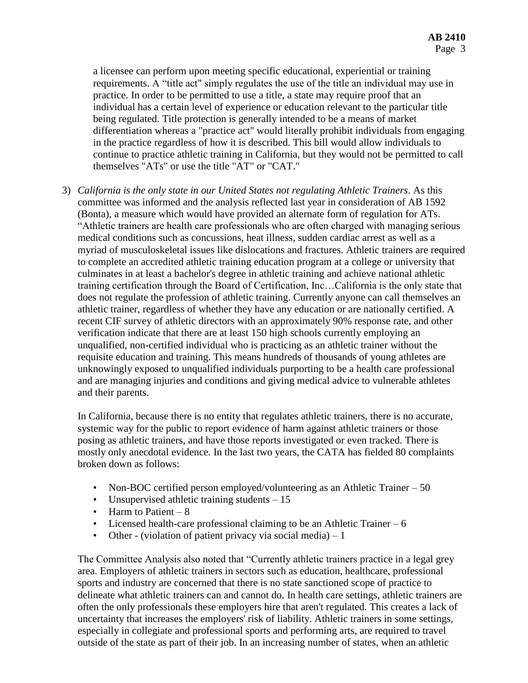a licensee can perform upon meeting specific educational, experiential or training requirements. A "title act" simply regulates the use of the title an individual may use in practice. In order to be permitted to use a title, a state may require proof that an individual has a certain level of experience or education relevant to the particular title being regulated. Title protection is generally intended to be a means of market differentiation whereas a "practice act" would literally prohibit individuals from engaging in the practice regardless of how it is described. This bill would allow individuals to continue to practice athletic training in California, but they would not be permitted to call themselves "ATs" or use the title "AT" or "CAT."

3) *California is the only state in our United States not regulating Athletic Trainers*. As this committee was informed and the analysis reflected last year in consideration of AB 1592 (Bonta), a measure which would have provided an alternate form of regulation for ATs. "Athletic trainers are health care professionals who are often charged with managing serious medical conditions such as concussions, heat illness, sudden cardiac arrest as well as a myriad of musculoskeletal issues like dislocations and fractures. Athletic trainers are required to complete an accredited athletic training education program at a college or university that culminates in at least a bachelor's degree in athletic training and achieve national athletic training certification through the Board of Certification, Inc…California is the only state that does not regulate the profession of athletic training. Currently anyone can call themselves an athletic trainer, regardless of whether they have any education or are nationally certified. A recent CIF survey of athletic directors with an approximately 90% response rate, and other verification indicate that there are at least 150 high schools currently employing an unqualified, non-certified individual who is practicing as an athletic trainer without the requisite education and training. This means hundreds of thousands of young athletes are unknowingly exposed to unqualified individuals purporting to be a health care professional and are managing injuries and conditions and giving medical advice to vulnerable athletes and their parents.

In California, because there is no entity that regulates athletic trainers, there is no accurate, systemic way for the public to report evidence of harm against athletic trainers or those posing as athletic trainers, and have those reports investigated or even tracked. There is mostly only anecdotal evidence. In the last two years, the CATA has fielded 80 complaints broken down as follows:

- Non-BOC certified person employed/volunteering as an Athletic Trainer 50
- Unsupervised athletic training students 15
- Harm to Patient  $-8$
- Licensed health-care professional claiming to be an Athletic Trainer  $-6$
- Other (violation of patient privacy via social media)  $-1$

The Committee Analysis also noted that "Currently athletic trainers practice in a legal grey area. Employers of athletic trainers in sectors such as education, healthcare, professional sports and industry are concerned that there is no state sanctioned scope of practice to delineate what athletic trainers can and cannot do. In health care settings, athletic trainers are often the only professionals these employers hire that aren't regulated. This creates a lack of uncertainty that increases the employers' risk of liability. Athletic trainers in some settings, especially in collegiate and professional sports and performing arts, are required to travel outside of the state as part of their job. In an increasing number of states, when an athletic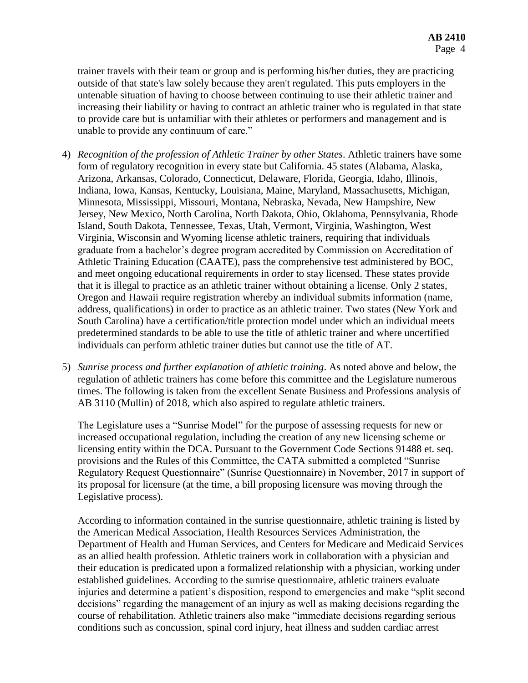trainer travels with their team or group and is performing his/her duties, they are practicing outside of that state's law solely because they aren't regulated. This puts employers in the untenable situation of having to choose between continuing to use their athletic trainer and increasing their liability or having to contract an athletic trainer who is regulated in that state to provide care but is unfamiliar with their athletes or performers and management and is unable to provide any continuum of care."

- 4) *Recognition of the profession of Athletic Trainer by other States*. Athletic trainers have some form of regulatory recognition in every state but California. 45 states (Alabama, Alaska, Arizona, Arkansas, Colorado, Connecticut, Delaware, Florida, Georgia, Idaho, Illinois, Indiana, Iowa, Kansas, Kentucky, Louisiana, Maine, Maryland, Massachusetts, Michigan, Minnesota, Mississippi, Missouri, Montana, Nebraska, Nevada, New Hampshire, New Jersey, New Mexico, North Carolina, North Dakota, Ohio, Oklahoma, Pennsylvania, Rhode Island, South Dakota, Tennessee, Texas, Utah, Vermont, Virginia, Washington, West Virginia, Wisconsin and Wyoming license athletic trainers, requiring that individuals graduate from a bachelor's degree program accredited by Commission on Accreditation of Athletic Training Education (CAATE), pass the comprehensive test administered by BOC, and meet ongoing educational requirements in order to stay licensed. These states provide that it is illegal to practice as an athletic trainer without obtaining a license. Only 2 states, Oregon and Hawaii require registration whereby an individual submits information (name, address, qualifications) in order to practice as an athletic trainer. Two states (New York and South Carolina) have a certification/title protection model under which an individual meets predetermined standards to be able to use the title of athletic trainer and where uncertified individuals can perform athletic trainer duties but cannot use the title of AT.
- 5) *Sunrise process and further explanation of athletic training*. As noted above and below, the regulation of athletic trainers has come before this committee and the Legislature numerous times. The following is taken from the excellent Senate Business and Professions analysis of AB 3110 (Mullin) of 2018, which also aspired to regulate athletic trainers.

The Legislature uses a "Sunrise Model" for the purpose of assessing requests for new or increased occupational regulation, including the creation of any new licensing scheme or licensing entity within the DCA. Pursuant to the Government Code Sections 91488 et. seq. provisions and the Rules of this Committee, the CATA submitted a completed "Sunrise Regulatory Request Questionnaire" (Sunrise Questionnaire) in November, 2017 in support of its proposal for licensure (at the time, a bill proposing licensure was moving through the Legislative process).

According to information contained in the sunrise questionnaire, athletic training is listed by the American Medical Association, Health Resources Services Administration, the Department of Health and Human Services, and Centers for Medicare and Medicaid Services as an allied health profession. Athletic trainers work in collaboration with a physician and their education is predicated upon a formalized relationship with a physician, working under established guidelines. According to the sunrise questionnaire, athletic trainers evaluate injuries and determine a patient's disposition, respond to emergencies and make "split second decisions" regarding the management of an injury as well as making decisions regarding the course of rehabilitation. Athletic trainers also make "immediate decisions regarding serious conditions such as concussion, spinal cord injury, heat illness and sudden cardiac arrest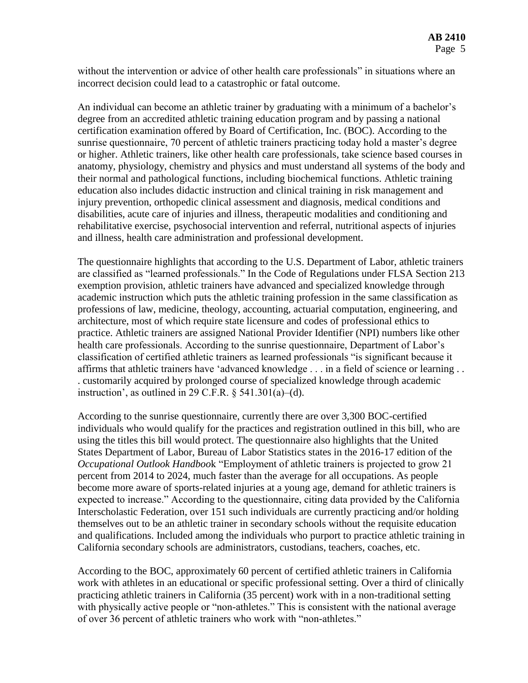without the intervention or advice of other health care professionals" in situations where an incorrect decision could lead to a catastrophic or fatal outcome.

An individual can become an athletic trainer by graduating with a minimum of a bachelor's degree from an accredited athletic training education program and by passing a national certification examination offered by Board of Certification, Inc. (BOC). According to the sunrise questionnaire, 70 percent of athletic trainers practicing today hold a master's degree or higher. Athletic trainers, like other health care professionals, take science based courses in anatomy, physiology, chemistry and physics and must understand all systems of the body and their normal and pathological functions, including biochemical functions. Athletic training education also includes didactic instruction and clinical training in risk management and injury prevention, orthopedic clinical assessment and diagnosis, medical conditions and disabilities, acute care of injuries and illness, therapeutic modalities and conditioning and rehabilitative exercise, psychosocial intervention and referral, nutritional aspects of injuries and illness, health care administration and professional development.

The questionnaire highlights that according to the U.S. Department of Labor, athletic trainers are classified as "learned professionals." In the Code of Regulations under FLSA Section 213 exemption provision, athletic trainers have advanced and specialized knowledge through academic instruction which puts the athletic training profession in the same classification as professions of law, medicine, theology, accounting, actuarial computation, engineering, and architecture, most of which require state licensure and codes of professional ethics to practice. Athletic trainers are assigned National Provider Identifier (NPI) numbers like other health care professionals. According to the sunrise questionnaire, Department of Labor's classification of certified athletic trainers as learned professionals "is significant because it affirms that athletic trainers have 'advanced knowledge . . . in a field of science or learning . . . customarily acquired by prolonged course of specialized knowledge through academic instruction', as outlined in 29 C.F.R.  $\S$  541.301(a)–(d).

According to the sunrise questionnaire, currently there are over 3,300 BOC-certified individuals who would qualify for the practices and registration outlined in this bill, who are using the titles this bill would protect. The questionnaire also highlights that the United States Department of Labor, Bureau of Labor Statistics states in the 2016-17 edition of the *Occupational Outlook Handboo*k "Employment of athletic trainers is projected to grow 21 percent from 2014 to 2024, much faster than the average for all occupations. As people become more aware of sports-related injuries at a young age, demand for athletic trainers is expected to increase." According to the questionnaire, citing data provided by the California Interscholastic Federation, over 151 such individuals are currently practicing and/or holding themselves out to be an athletic trainer in secondary schools without the requisite education and qualifications. Included among the individuals who purport to practice athletic training in California secondary schools are administrators, custodians, teachers, coaches, etc.

According to the BOC, approximately 60 percent of certified athletic trainers in California work with athletes in an educational or specific professional setting. Over a third of clinically practicing athletic trainers in California (35 percent) work with in a non-traditional setting with physically active people or "non-athletes." This is consistent with the national average of over 36 percent of athletic trainers who work with "non-athletes."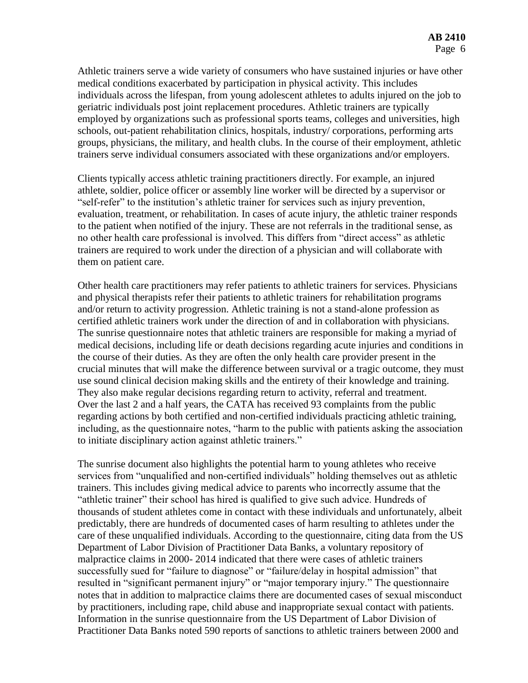Athletic trainers serve a wide variety of consumers who have sustained injuries or have other medical conditions exacerbated by participation in physical activity. This includes individuals across the lifespan, from young adolescent athletes to adults injured on the job to geriatric individuals post joint replacement procedures. Athletic trainers are typically employed by organizations such as professional sports teams, colleges and universities, high schools, out-patient rehabilitation clinics, hospitals, industry/ corporations, performing arts groups, physicians, the military, and health clubs. In the course of their employment, athletic trainers serve individual consumers associated with these organizations and/or employers.

Clients typically access athletic training practitioners directly. For example, an injured athlete, soldier, police officer or assembly line worker will be directed by a supervisor or "self-refer" to the institution's athletic trainer for services such as injury prevention, evaluation, treatment, or rehabilitation. In cases of acute injury, the athletic trainer responds to the patient when notified of the injury. These are not referrals in the traditional sense, as no other health care professional is involved. This differs from "direct access" as athletic trainers are required to work under the direction of a physician and will collaborate with them on patient care.

Other health care practitioners may refer patients to athletic trainers for services. Physicians and physical therapists refer their patients to athletic trainers for rehabilitation programs and/or return to activity progression. Athletic training is not a stand-alone profession as certified athletic trainers work under the direction of and in collaboration with physicians. The sunrise questionnaire notes that athletic trainers are responsible for making a myriad of medical decisions, including life or death decisions regarding acute injuries and conditions in the course of their duties. As they are often the only health care provider present in the crucial minutes that will make the difference between survival or a tragic outcome, they must use sound clinical decision making skills and the entirety of their knowledge and training. They also make regular decisions regarding return to activity, referral and treatment. Over the last 2 and a half years, the CATA has received 93 complaints from the public regarding actions by both certified and non-certified individuals practicing athletic training, including, as the questionnaire notes, "harm to the public with patients asking the association to initiate disciplinary action against athletic trainers."

The sunrise document also highlights the potential harm to young athletes who receive services from "unqualified and non-certified individuals" holding themselves out as athletic trainers. This includes giving medical advice to parents who incorrectly assume that the "athletic trainer" their school has hired is qualified to give such advice. Hundreds of thousands of student athletes come in contact with these individuals and unfortunately, albeit predictably, there are hundreds of documented cases of harm resulting to athletes under the care of these unqualified individuals. According to the questionnaire, citing data from the US Department of Labor Division of Practitioner Data Banks, a voluntary repository of malpractice claims in 2000- 2014 indicated that there were cases of athletic trainers successfully sued for "failure to diagnose" or "failure/delay in hospital admission" that resulted in "significant permanent injury" or "major temporary injury." The questionnaire notes that in addition to malpractice claims there are documented cases of sexual misconduct by practitioners, including rape, child abuse and inappropriate sexual contact with patients. Information in the sunrise questionnaire from the US Department of Labor Division of Practitioner Data Banks noted 590 reports of sanctions to athletic trainers between 2000 and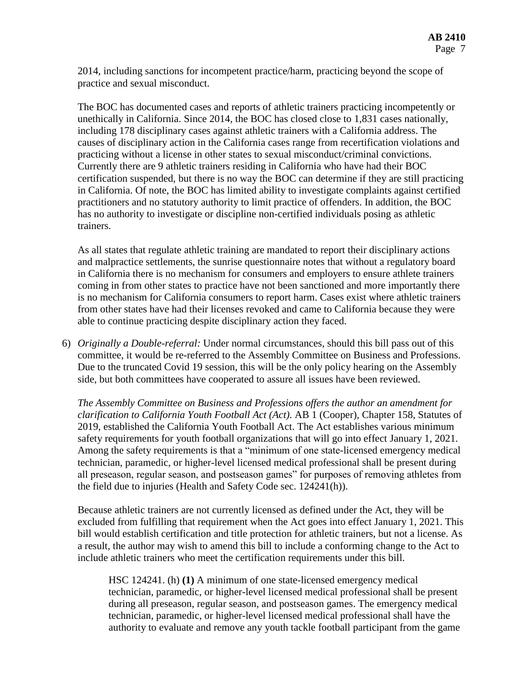2014, including sanctions for incompetent practice/harm, practicing beyond the scope of practice and sexual misconduct.

The BOC has documented cases and reports of athletic trainers practicing incompetently or unethically in California. Since 2014, the BOC has closed close to 1,831 cases nationally, including 178 disciplinary cases against athletic trainers with a California address. The causes of disciplinary action in the California cases range from recertification violations and practicing without a license in other states to sexual misconduct/criminal convictions. Currently there are 9 athletic trainers residing in California who have had their BOC certification suspended, but there is no way the BOC can determine if they are still practicing in California. Of note, the BOC has limited ability to investigate complaints against certified practitioners and no statutory authority to limit practice of offenders. In addition, the BOC has no authority to investigate or discipline non-certified individuals posing as athletic trainers.

As all states that regulate athletic training are mandated to report their disciplinary actions and malpractice settlements, the sunrise questionnaire notes that without a regulatory board in California there is no mechanism for consumers and employers to ensure athlete trainers coming in from other states to practice have not been sanctioned and more importantly there is no mechanism for California consumers to report harm. Cases exist where athletic trainers from other states have had their licenses revoked and came to California because they were able to continue practicing despite disciplinary action they faced.

6) *Originally a Double-referral:* Under normal circumstances, should this bill pass out of this committee, it would be re-referred to the Assembly Committee on Business and Professions. Due to the truncated Covid 19 session, this will be the only policy hearing on the Assembly side, but both committees have cooperated to assure all issues have been reviewed.

*The Assembly Committee on Business and Professions offers the author an amendment for clarification to California Youth Football Act (Act)*. AB 1 (Cooper), Chapter 158, Statutes of 2019, established the California Youth Football Act. The Act establishes various minimum safety requirements for youth football organizations that will go into effect January 1, 2021. Among the safety requirements is that a "minimum of one state-licensed emergency medical technician, paramedic, or higher-level licensed medical professional shall be present during all preseason, regular season, and postseason games" for purposes of removing athletes from the field due to injuries (Health and Safety Code sec. 124241(h)).

Because athletic trainers are not currently licensed as defined under the Act, they will be excluded from fulfilling that requirement when the Act goes into effect January 1, 2021. This bill would establish certification and title protection for athletic trainers, but not a license. As a result, the author may wish to amend this bill to include a conforming change to the Act to include athletic trainers who meet the certification requirements under this bill.

HSC 124241. (h) **(1)** A minimum of one state-licensed emergency medical technician, paramedic, or higher-level licensed medical professional shall be present during all preseason, regular season, and postseason games. The emergency medical technician, paramedic, or higher-level licensed medical professional shall have the authority to evaluate and remove any youth tackle football participant from the game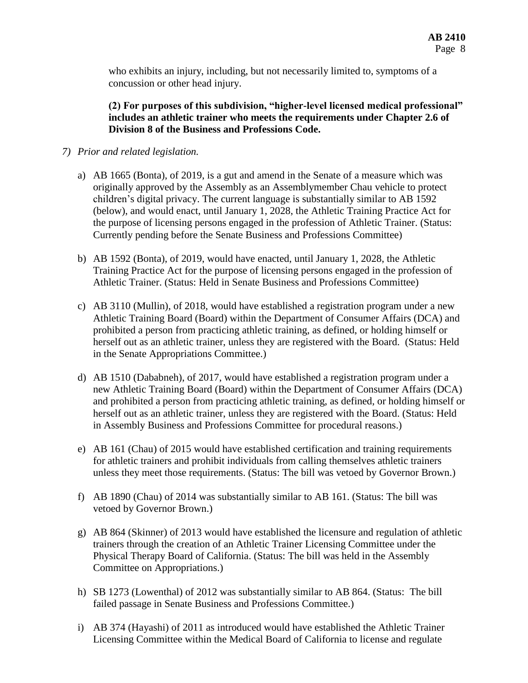who exhibits an injury, including, but not necessarily limited to, symptoms of a concussion or other head injury.

**(2) For purposes of this subdivision, "higher-level licensed medical professional" includes an athletic trainer who meets the requirements under Chapter 2.6 of Division 8 of the Business and Professions Code.** 

## *7) Prior and related legislation.*

- a) AB 1665 (Bonta), of 2019, is a gut and amend in the Senate of a measure which was originally approved by the Assembly as an Assemblymember Chau vehicle to protect children's digital privacy. The current language is substantially similar to AB 1592 (below), and would enact, until January 1, 2028, the Athletic Training Practice Act for the purpose of licensing persons engaged in the profession of Athletic Trainer. (Status: Currently pending before the Senate Business and Professions Committee)
- b) AB 1592 (Bonta), of 2019, would have enacted, until January 1, 2028, the Athletic Training Practice Act for the purpose of licensing persons engaged in the profession of Athletic Trainer. (Status: Held in Senate Business and Professions Committee)
- c) AB 3110 (Mullin), of 2018, would have established a registration program under a new Athletic Training Board (Board) within the Department of Consumer Affairs (DCA) and prohibited a person from practicing athletic training, as defined, or holding himself or herself out as an athletic trainer, unless they are registered with the Board. (Status: Held in the Senate Appropriations Committee.)
- d) AB 1510 (Dababneh), of 2017, would have established a registration program under a new Athletic Training Board (Board) within the Department of Consumer Affairs (DCA) and prohibited a person from practicing athletic training, as defined, or holding himself or herself out as an athletic trainer, unless they are registered with the Board. (Status: Held in Assembly Business and Professions Committee for procedural reasons.)
- e) AB 161 (Chau) of 2015 would have established certification and training requirements for athletic trainers and prohibit individuals from calling themselves athletic trainers unless they meet those requirements. (Status: The bill was vetoed by Governor Brown.)
- f) AB 1890 (Chau) of 2014 was substantially similar to AB 161. (Status: The bill was vetoed by Governor Brown.)
- g) AB 864 (Skinner) of 2013 would have established the licensure and regulation of athletic trainers through the creation of an Athletic Trainer Licensing Committee under the Physical Therapy Board of California. (Status: The bill was held in the Assembly Committee on Appropriations.)
- h) SB 1273 (Lowenthal) of 2012 was substantially similar to AB 864. (Status: The bill failed passage in Senate Business and Professions Committee.)
- i) AB 374 (Hayashi) of 2011 as introduced would have established the Athletic Trainer Licensing Committee within the Medical Board of California to license and regulate